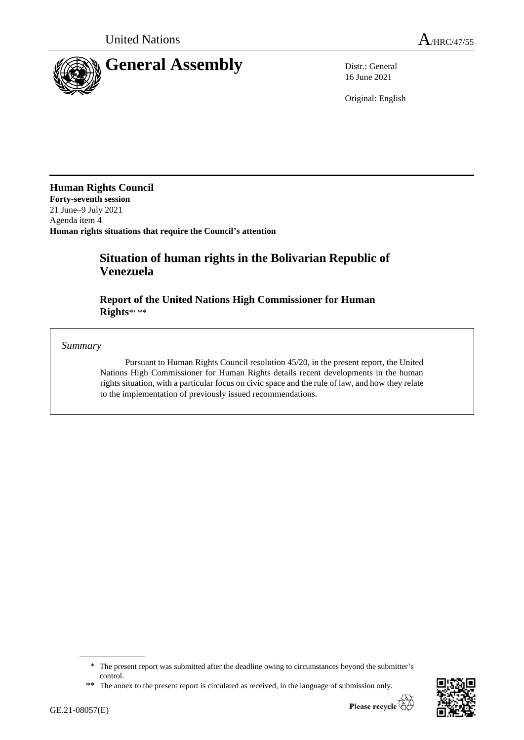

16 June 2021

Original: English

**Human Rights Council**

**Forty-seventh session** 21 June–9 July 2021 Agenda item 4 **Human rights situations that require the Council's attention**

# **Situation of human rights in the Bolivarian Republic of Venezuela**

**Report of the United Nations High Commissioner for Human Rights**\* , \*\*

*Summary*

Pursuant to Human Rights Council resolution 45/20, in the present report, the United Nations High Commissioner for Human Rights details recent developments in the human rights situation, with a particular focus on civic space and the rule of law, and how they relate to the implementation of previously issued recommendations.

<sup>\*\*</sup> The annex to the present report is circulated as received, in the language of submission only.



<sup>\*</sup> The present report was submitted after the deadline owing to circumstances beyond the submitter's control.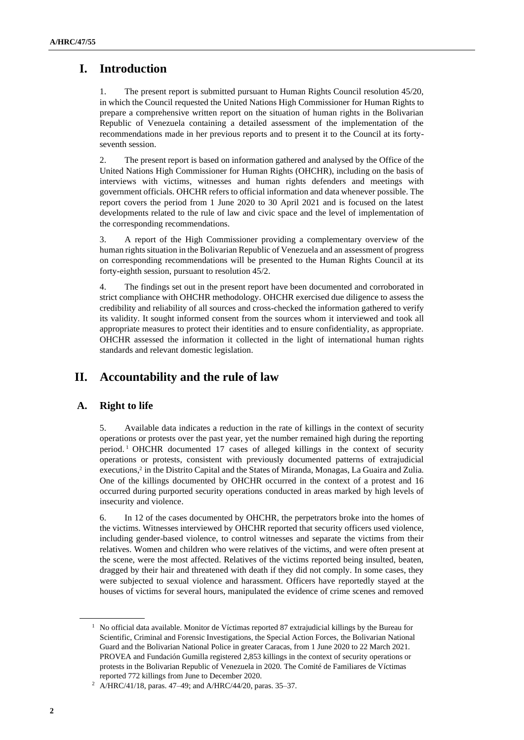# **I. Introduction**

1. The present report is submitted pursuant to Human Rights Council resolution 45/20, in which the Council requested the United Nations High Commissioner for Human Rights to prepare a comprehensive written report on the situation of human rights in the Bolivarian Republic of Venezuela containing a detailed assessment of the implementation of the recommendations made in her previous reports and to present it to the Council at its fortyseventh session.

2. The present report is based on information gathered and analysed by the Office of the United Nations High Commissioner for Human Rights (OHCHR), including on the basis of interviews with victims, witnesses and human rights defenders and meetings with government officials. OHCHR refers to official information and data whenever possible. The report covers the period from 1 June 2020 to 30 April 2021 and is focused on the latest developments related to the rule of law and civic space and the level of implementation of the corresponding recommendations.

3. A report of the High Commissioner providing a complementary overview of the human rights situation in the Bolivarian Republic of Venezuela and an assessment of progress on corresponding recommendations will be presented to the Human Rights Council at its forty-eighth session, pursuant to resolution 45/2.

4. The findings set out in the present report have been documented and corroborated in strict compliance with OHCHR methodology. OHCHR exercised due diligence to assess the credibility and reliability of all sources and cross-checked the information gathered to verify its validity. It sought informed consent from the sources whom it interviewed and took all appropriate measures to protect their identities and to ensure confidentiality, as appropriate. OHCHR assessed the information it collected in the light of international human rights standards and relevant domestic legislation.

# **II. Accountability and the rule of law**

# **A. Right to life**

5. Available data indicates a reduction in the rate of killings in the context of security operations or protests over the past year, yet the number remained high during the reporting period.<sup>1</sup> OHCHR documented 17 cases of alleged killings in the context of security operations or protests, consistent with previously documented patterns of extrajudicial executions,<sup>2</sup> in the Distrito Capital and the States of Miranda, Monagas, La Guaira and Zulia. One of the killings documented by OHCHR occurred in the context of a protest and 16 occurred during purported security operations conducted in areas marked by high levels of insecurity and violence.

6. In 12 of the cases documented by OHCHR, the perpetrators broke into the homes of the victims. Witnesses interviewed by OHCHR reported that security officers used violence, including gender-based violence, to control witnesses and separate the victims from their relatives. Women and children who were relatives of the victims, and were often present at the scene, were the most affected. Relatives of the victims reported being insulted, beaten, dragged by their hair and threatened with death if they did not comply. In some cases, they were subjected to sexual violence and harassment. Officers have reportedly stayed at the houses of victims for several hours, manipulated the evidence of crime scenes and removed

 $1$  No official data available. Monitor de Víctimas reported 87 extrajudicial killings by the Bureau for Scientific, Criminal and Forensic Investigations, the Special Action Forces, the Bolivarian National Guard and the Bolivarian National Police in greater Caracas, from 1 June 2020 to 22 March 2021. PROVEA and Fundación Gumilla registered 2,853 killings in the context of security operations or protests in the Bolivarian Republic of Venezuela in 2020. The Comité de Familiares de Víctimas reported 772 killings from June to December 2020.

<sup>2</sup> A/HRC/41/18, paras. 47–49; and A/HRC/44/20, paras. 35–37.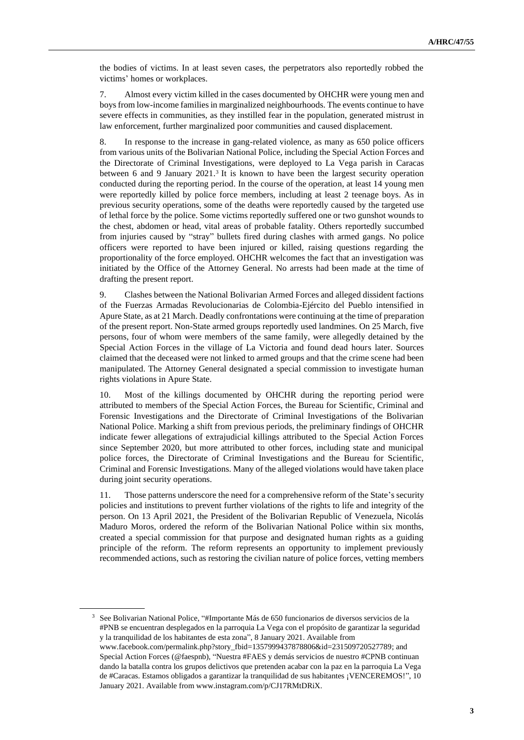the bodies of victims. In at least seven cases, the perpetrators also reportedly robbed the victims' homes or workplaces.

7. Almost every victim killed in the cases documented by OHCHR were young men and boys from low-income families in marginalized neighbourhoods. The events continue to have severe effects in communities, as they instilled fear in the population, generated mistrust in law enforcement, further marginalized poor communities and caused displacement.

8. In response to the increase in gang-related violence, as many as 650 police officers from various units of the Bolivarian National Police, including the Special Action Forces and the Directorate of Criminal Investigations, were deployed to La Vega parish in Caracas between 6 and 9 January 2021. 3 It is known to have been the largest security operation conducted during the reporting period. In the course of the operation, at least 14 young men were reportedly killed by police force members, including at least 2 teenage boys. As in previous security operations, some of the deaths were reportedly caused by the targeted use of lethal force by the police. Some victims reportedly suffered one or two gunshot wounds to the chest, abdomen or head, vital areas of probable fatality. Others reportedly succumbed from injuries caused by "stray" bullets fired during clashes with armed gangs. No police officers were reported to have been injured or killed, raising questions regarding the proportionality of the force employed. OHCHR welcomes the fact that an investigation was initiated by the Office of the Attorney General. No arrests had been made at the time of drafting the present report.

9. Clashes between the National Bolivarian Armed Forces and alleged dissident factions of the Fuerzas Armadas Revolucionarias de Colombia-Ejército del Pueblo intensified in Apure State, as at 21 March. Deadly confrontations were continuing at the time of preparation of the present report. Non-State armed groups reportedly used landmines. On 25 March, five persons, four of whom were members of the same family, were allegedly detained by the Special Action Forces in the village of La Victoria and found dead hours later. Sources claimed that the deceased were not linked to armed groups and that the crime scene had been manipulated. The Attorney General designated a special commission to investigate human rights violations in Apure State.

10. Most of the killings documented by OHCHR during the reporting period were attributed to members of the Special Action Forces, the Bureau for Scientific, Criminal and Forensic Investigations and the Directorate of Criminal Investigations of the Bolivarian National Police. Marking a shift from previous periods, the preliminary findings of OHCHR indicate fewer allegations of extrajudicial killings attributed to the Special Action Forces since September 2020, but more attributed to other forces, including state and municipal police forces, the Directorate of Criminal Investigations and the Bureau for Scientific, Criminal and Forensic Investigations. Many of the alleged violations would have taken place during joint security operations.

11. Those patterns underscore the need for a comprehensive reform of the State's security policies and institutions to prevent further violations of the rights to life and integrity of the person. On 13 April 2021, the President of the Bolivarian Republic of Venezuela, Nicolás Maduro Moros, ordered the reform of the Bolivarian National Police within six months, created a special commission for that purpose and designated human rights as a guiding principle of the reform. The reform represents an opportunity to implement previously recommended actions, such as restoring the civilian nature of police forces, vetting members

<sup>3</sup> See Bolivarian National Police, "#Importante Más de 650 funcionarios de diversos servicios de la #PNB se encuentran desplegados en la parroquia La Vega con el propósito de garantizar la seguridad y la tranquilidad de los habitantes de esta zona", 8 January 2021. Available from [www.facebook.com/permalink.php?story\\_fbid=1357999437878806&id=231509720527789;](http://www.facebook.com/permalink.php?story_fbid=1357999437878806&id=231509720527789) and Special Action Forces (@faespnb), "Nuestra #FAES y demás servicios de nuestro #CPNB continuan dando la batalla contra los grupos delictivos que pretenden acabar con la paz en la parroquia La Vega de #Caracas. Estamos obligados a garantizar la tranquilidad de sus habitantes ¡VENCEREMOS!", 10 January 2021. Available from www.instagram.com/p/CJ17RMtDRiX.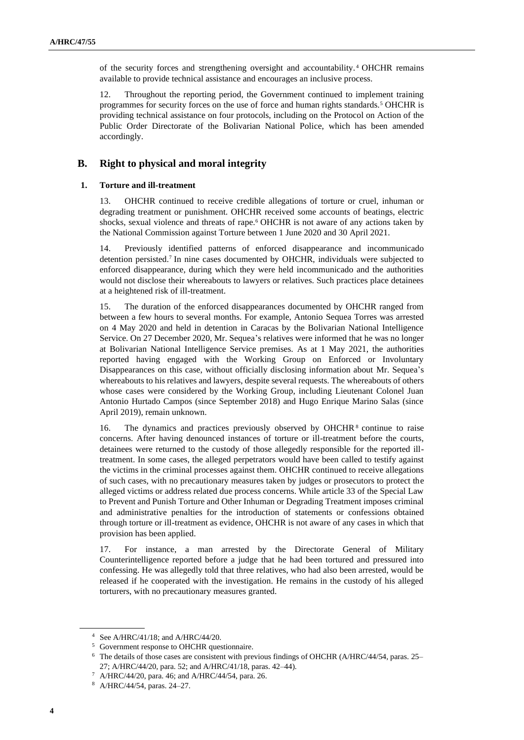of the security forces and strengthening oversight and accountability. <sup>4</sup> OHCHR remains available to provide technical assistance and encourages an inclusive process.

12. Throughout the reporting period, the Government continued to implement training programmes for security forces on the use of force and human rights standards.<sup>5</sup> OHCHR is providing technical assistance on four protocols, including on the Protocol on Action of the Public Order Directorate of the Bolivarian National Police, which has been amended accordingly.

## **B. Right to physical and moral integrity**

#### **1. Torture and ill-treatment**

13. OHCHR continued to receive credible allegations of torture or cruel, inhuman or degrading treatment or punishment. OHCHR received some accounts of beatings, electric shocks, sexual violence and threats of rape.<sup>6</sup> OHCHR is not aware of any actions taken by the National Commission against Torture between 1 June 2020 and 30 April 2021.

14. Previously identified patterns of enforced disappearance and incommunicado detention persisted.<sup>7</sup> In nine cases documented by OHCHR, individuals were subjected to enforced disappearance, during which they were held incommunicado and the authorities would not disclose their whereabouts to lawyers or relatives. Such practices place detainees at a heightened risk of ill-treatment.

15. The duration of the enforced disappearances documented by OHCHR ranged from between a few hours to several months. For example, Antonio Sequea Torres was arrested on 4 May 2020 and held in detention in Caracas by the Bolivarian National Intelligence Service. On 27 December 2020, Mr. Sequea's relatives were informed that he was no longer at Bolivarian National Intelligence Service premises. As at 1 May 2021, the authorities reported having engaged with the Working Group on Enforced or Involuntary Disappearances on this case, without officially disclosing information about Mr. Sequea's whereabouts to his relatives and lawyers, despite several requests. The whereabouts of others whose cases were considered by the Working Group, including Lieutenant Colonel Juan Antonio Hurtado Campos (since September 2018) and Hugo Enrique Marino Salas (since April 2019), remain unknown.

16. The dynamics and practices previously observed by OHCHR<sup>8</sup> continue to raise concerns. After having denounced instances of torture or ill-treatment before the courts, detainees were returned to the custody of those allegedly responsible for the reported illtreatment. In some cases, the alleged perpetrators would have been called to testify against the victims in the criminal processes against them. OHCHR continued to receive allegations of such cases, with no precautionary measures taken by judges or prosecutors to protect the alleged victims or address related due process concerns. While article 33 of the Special Law to Prevent and Punish Torture and Other Inhuman or Degrading Treatment imposes criminal and administrative penalties for the introduction of statements or confessions obtained through torture or ill-treatment as evidence, OHCHR is not aware of any cases in which that provision has been applied.

17. For instance, a man arrested by the Directorate General of Military Counterintelligence reported before a judge that he had been tortured and pressured into confessing. He was allegedly told that three relatives, who had also been arrested, would be released if he cooperated with the investigation. He remains in the custody of his alleged torturers, with no precautionary measures granted.

<sup>4</sup> See A/HRC/41/18; and A/HRC/44/20.

<sup>5</sup> Government response to OHCHR questionnaire.

<sup>6</sup> The details of those cases are consistent with previous findings of OHCHR (A/HRC/44/54, paras. 25– 27; A/HRC/44/20, para. 52; and A/HRC/41/18, paras. 42–44).

<sup>7</sup> A/HRC/44/20, para. 46; and A/HRC/44/54, para. 26.

<sup>8</sup> A/HRC/44/54, paras. 24–27.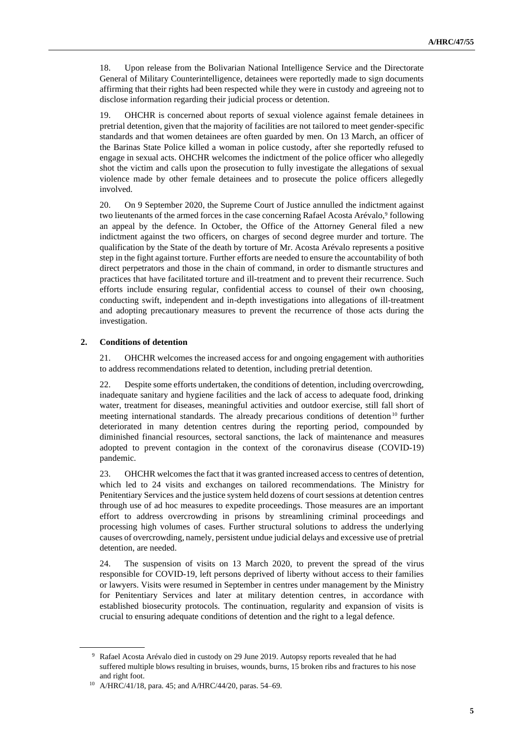18. Upon release from the Bolivarian National Intelligence Service and the Directorate General of Military Counterintelligence, detainees were reportedly made to sign documents affirming that their rights had been respected while they were in custody and agreeing not to disclose information regarding their judicial process or detention.

19. OHCHR is concerned about reports of sexual violence against female detainees in pretrial detention, given that the majority of facilities are not tailored to meet gender-specific standards and that women detainees are often guarded by men. On 13 March, an officer of the Barinas State Police killed a woman in police custody, after she reportedly refused to engage in sexual acts. OHCHR welcomes the indictment of the police officer who allegedly shot the victim and calls upon the prosecution to fully investigate the allegations of sexual violence made by other female detainees and to prosecute the police officers allegedly involved.

20. On 9 September 2020, the Supreme Court of Justice annulled the indictment against two lieutenants of the armed forces in the case concerning Rafael Acosta Arévalo,<sup>9</sup> following an appeal by the defence. In October, the Office of the Attorney General filed a new indictment against the two officers, on charges of second degree murder and torture. The qualification by the State of the death by torture of Mr. Acosta Arévalo represents a positive step in the fight against torture. Further efforts are needed to ensure the accountability of both direct perpetrators and those in the chain of command, in order to dismantle structures and practices that have facilitated torture and ill-treatment and to prevent their recurrence. Such efforts include ensuring regular, confidential access to counsel of their own choosing, conducting swift, independent and in-depth investigations into allegations of ill-treatment and adopting precautionary measures to prevent the recurrence of those acts during the investigation.

## **2. Conditions of detention**

21. OHCHR welcomes the increased access for and ongoing engagement with authorities to address recommendations related to detention, including pretrial detention.

22. Despite some efforts undertaken, the conditions of detention, including overcrowding, inadequate sanitary and hygiene facilities and the lack of access to adequate food, drinking water, treatment for diseases, meaningful activities and outdoor exercise, still fall short of meeting international standards. The already precarious conditions of detention<sup>10</sup> further deteriorated in many detention centres during the reporting period, compounded by diminished financial resources, sectoral sanctions, the lack of maintenance and measures adopted to prevent contagion in the context of the coronavirus disease (COVID-19) pandemic.

23. OHCHR welcomes the fact that it was granted increased access to centres of detention, which led to 24 visits and exchanges on tailored recommendations. The Ministry for Penitentiary Services and the justice system held dozens of court sessions at detention centres through use of ad hoc measures to expedite proceedings. Those measures are an important effort to address overcrowding in prisons by streamlining criminal proceedings and processing high volumes of cases. Further structural solutions to address the underlying causes of overcrowding, namely, persistent undue judicial delays and excessive use of pretrial detention, are needed.

24. The suspension of visits on 13 March 2020, to prevent the spread of the virus responsible for COVID-19, left persons deprived of liberty without access to their families or lawyers. Visits were resumed in September in centres under management by the Ministry for Penitentiary Services and later at military detention centres, in accordance with established biosecurity protocols. The continuation, regularity and expansion of visits is crucial to ensuring adequate conditions of detention and the right to a legal defence.

<sup>&</sup>lt;sup>9</sup> Rafael Acosta Arévalo died in custody on 29 June 2019. Autopsy reports revealed that he had suffered multiple blows resulting in bruises, wounds, burns, 15 broken ribs and fractures to his nose and right foot.

<sup>10</sup> A/HRC/41/18, para. 45; and A/HRC/44/20, paras. 54–69.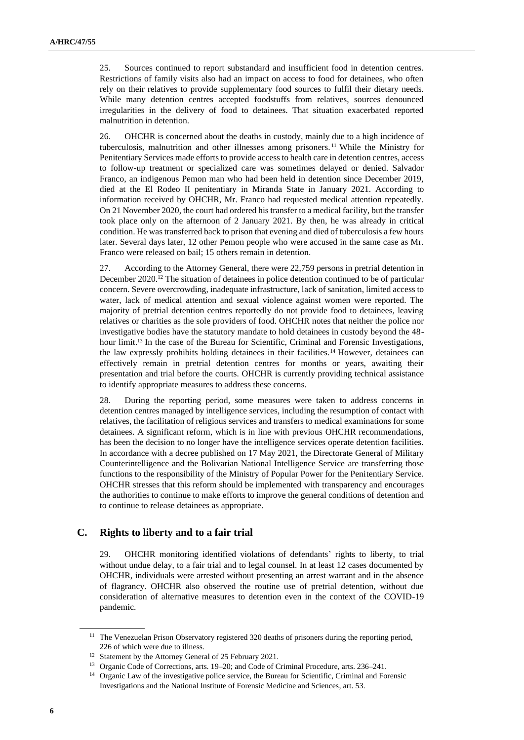25. Sources continued to report substandard and insufficient food in detention centres. Restrictions of family visits also had an impact on access to food for detainees, who often rely on their relatives to provide supplementary food sources to fulfil their dietary needs. While many detention centres accepted foodstuffs from relatives, sources denounced irregularities in the delivery of food to detainees. That situation exacerbated reported malnutrition in detention.

26. OHCHR is concerned about the deaths in custody, mainly due to a high incidence of tuberculosis, malnutrition and other illnesses among prisoners. <sup>11</sup> While the Ministry for Penitentiary Services made efforts to provide access to health care in detention centres, access to follow-up treatment or specialized care was sometimes delayed or denied. Salvador Franco, an indigenous Pemon man who had been held in detention since December 2019, died at the El Rodeo II penitentiary in Miranda State in January 2021. According to information received by OHCHR, Mr. Franco had requested medical attention repeatedly. On 21 November 2020, the court had ordered his transfer to a medical facility, but the transfer took place only on the afternoon of 2 January 2021. By then, he was already in critical condition. He was transferred back to prison that evening and died of tuberculosis a few hours later. Several days later, 12 other Pemon people who were accused in the same case as Mr. Franco were released on bail; 15 others remain in detention.

27. According to the Attorney General, there were 22,759 persons in pretrial detention in December 2020.<sup>12</sup> The situation of detainees in police detention continued to be of particular concern. Severe overcrowding, inadequate infrastructure, lack of sanitation, limited access to water, lack of medical attention and sexual violence against women were reported. The majority of pretrial detention centres reportedly do not provide food to detainees, leaving relatives or charities as the sole providers of food. OHCHR notes that neither the police nor investigative bodies have the statutory mandate to hold detainees in custody beyond the 48 hour limit.<sup>13</sup> In the case of the Bureau for Scientific, Criminal and Forensic Investigations, the law expressly prohibits holding detainees in their facilities.<sup>14</sup> However, detainees can effectively remain in pretrial detention centres for months or years, awaiting their presentation and trial before the courts. OHCHR is currently providing technical assistance to identify appropriate measures to address these concerns.

28. During the reporting period, some measures were taken to address concerns in detention centres managed by intelligence services, including the resumption of contact with relatives, the facilitation of religious services and transfers to medical examinations for some detainees. A significant reform, which is in line with previous OHCHR recommendations, has been the decision to no longer have the intelligence services operate detention facilities. In accordance with a decree published on 17 May 2021, the Directorate General of Military Counterintelligence and the Bolivarian National Intelligence Service are transferring those functions to the responsibility of the Ministry of Popular Power for the Penitentiary Service. OHCHR stresses that this reform should be implemented with transparency and encourages the authorities to continue to make efforts to improve the general conditions of detention and to continue to release detainees as appropriate.

## **C. Rights to liberty and to a fair trial**

29. OHCHR monitoring identified violations of defendants' rights to liberty, to trial without undue delay, to a fair trial and to legal counsel. In at least 12 cases documented by OHCHR, individuals were arrested without presenting an arrest warrant and in the absence of flagrancy. OHCHR also observed the routine use of pretrial detention, without due consideration of alternative measures to detention even in the context of the COVID-19 pandemic.

<sup>&</sup>lt;sup>11</sup> The Venezuelan Prison Observatory registered 320 deaths of prisoners during the reporting period, 226 of which were due to illness.

<sup>&</sup>lt;sup>12</sup> Statement by the Attorney General of 25 February 2021.

<sup>13</sup> Organic Code of Corrections, arts. 19–20; and Code of Criminal Procedure, arts. 236–241.

<sup>&</sup>lt;sup>14</sup> Organic Law of the investigative police service, the Bureau for Scientific, Criminal and Forensic Investigations and the National Institute of Forensic Medicine and Sciences, art. 53.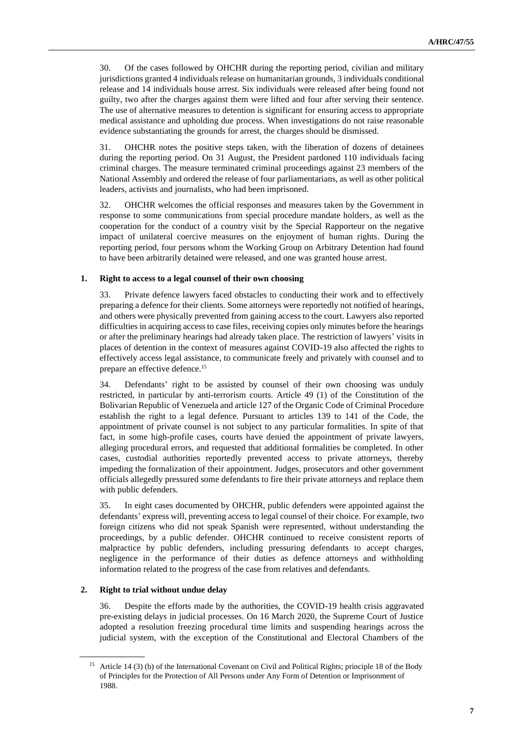30. Of the cases followed by OHCHR during the reporting period, civilian and military jurisdictions granted 4 individuals release on humanitarian grounds, 3 individuals conditional release and 14 individuals house arrest. Six individuals were released after being found not guilty, two after the charges against them were lifted and four after serving their sentence. The use of alternative measures to detention is significant for ensuring access to appropriate medical assistance and upholding due process. When investigations do not raise reasonable evidence substantiating the grounds for arrest, the charges should be dismissed.

31. OHCHR notes the positive steps taken, with the liberation of dozens of detainees during the reporting period. On 31 August, the President pardoned 110 individuals facing criminal charges. The measure terminated criminal proceedings against 23 members of the National Assembly and ordered the release of four parliamentarians, as well as other political leaders, activists and journalists, who had been imprisoned.

32. OHCHR welcomes the official responses and measures taken by the Government in response to some communications from special procedure mandate holders, as well as the cooperation for the conduct of a country visit by the Special Rapporteur on the negative impact of unilateral coercive measures on the enjoyment of human rights. During the reporting period, four persons whom the Working Group on Arbitrary Detention had found to have been arbitrarily detained were released, and one was granted house arrest.

## **1. Right to access to a legal counsel of their own choosing**

33. Private defence lawyers faced obstacles to conducting their work and to effectively preparing a defence for their clients. Some attorneys were reportedly not notified of hearings, and others were physically prevented from gaining access to the court. Lawyers also reported difficulties in acquiring access to case files, receiving copies only minutes before the hearings or after the preliminary hearings had already taken place. The restriction of lawyers' visits in places of detention in the context of measures against COVID-19 also affected the rights to effectively access legal assistance, to communicate freely and privately with counsel and to prepare an effective defence.<sup>15</sup>

34. Defendants' right to be assisted by counsel of their own choosing was unduly restricted, in particular by anti-terrorism courts. Article 49 (1) of the Constitution of the Bolivarian Republic of Venezuela and article 127 of the Organic Code of Criminal Procedure establish the right to a legal defence. Pursuant to articles 139 to 141 of the Code, the appointment of private counsel is not subject to any particular formalities. In spite of that fact, in some high-profile cases, courts have denied the appointment of private lawyers, alleging procedural errors, and requested that additional formalities be completed. In other cases, custodial authorities reportedly prevented access to private attorneys, thereby impeding the formalization of their appointment. Judges, prosecutors and other government officials allegedly pressured some defendants to fire their private attorneys and replace them with public defenders.

35. In eight cases documented by OHCHR, public defenders were appointed against the defendants' express will, preventing access to legal counsel of their choice. For example, two foreign citizens who did not speak Spanish were represented, without understanding the proceedings, by a public defender. OHCHR continued to receive consistent reports of malpractice by public defenders, including pressuring defendants to accept charges, negligence in the performance of their duties as defence attorneys and withholding information related to the progress of the case from relatives and defendants.

## **2. Right to trial without undue delay**

36. Despite the efforts made by the authorities, the COVID-19 health crisis aggravated pre-existing delays in judicial processes. On 16 March 2020, the Supreme Court of Justice adopted a resolution freezing procedural time limits and suspending hearings across the judicial system, with the exception of the Constitutional and Electoral Chambers of the

<sup>&</sup>lt;sup>15</sup> Article 14 (3) (b) of the International Covenant on Civil and Political Rights; principle 18 of the Body of Principles for the Protection of All Persons under Any Form of Detention or Imprisonment of 1988.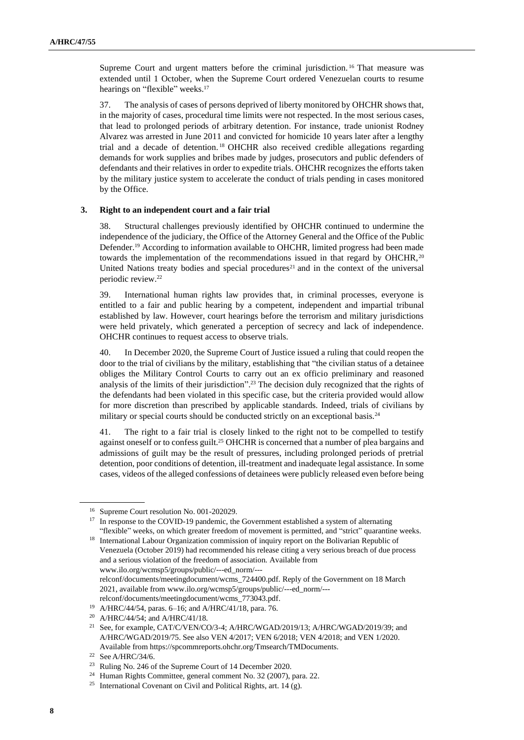Supreme Court and urgent matters before the criminal jurisdiction.<sup>16</sup> That measure was extended until 1 October, when the Supreme Court ordered Venezuelan courts to resume hearings on "flexible" weeks.<sup>17</sup>

37. The analysis of cases of persons deprived of liberty monitored by OHCHR shows that, in the majority of cases, procedural time limits were not respected. In the most serious cases, that lead to prolonged periods of arbitrary detention. For instance, trade unionist Rodney Alvarez was arrested in June 2011 and convicted for homicide 10 years later after a lengthy trial and a decade of detention. <sup>18</sup> OHCHR also received credible allegations regarding demands for work supplies and bribes made by judges, prosecutors and public defenders of defendants and their relatives in order to expedite trials. OHCHR recognizes the efforts taken by the military justice system to accelerate the conduct of trials pending in cases monitored by the Office.

#### **3. Right to an independent court and a fair trial**

38. Structural challenges previously identified by OHCHR continued to undermine the independence of the judiciary, the Office of the Attorney General and the Office of the Public Defender.<sup>19</sup> According to information available to OHCHR, limited progress had been made towards the implementation of the recommendations issued in that regard by OHCHR,<sup>20</sup> United Nations treaty bodies and special procedures<sup>21</sup> and in the context of the universal periodic review.<sup>22</sup>

39. International human rights law provides that, in criminal processes, everyone is entitled to a fair and public hearing by a competent, independent and impartial tribunal established by law. However, court hearings before the terrorism and military jurisdictions were held privately, which generated a perception of secrecy and lack of independence. OHCHR continues to request access to observe trials.

40. In December 2020, the Supreme Court of Justice issued a ruling that could reopen the door to the trial of civilians by the military, establishing that "the civilian status of a detainee obliges the Military Control Courts to carry out an ex officio preliminary and reasoned analysis of the limits of their jurisdiction". <sup>23</sup> The decision duly recognized that the rights of the defendants had been violated in this specific case, but the criteria provided would allow for more discretion than prescribed by applicable standards. Indeed, trials of civilians by military or special courts should be conducted strictly on an exceptional basis.<sup>24</sup>

41. The right to a fair trial is closely linked to the right not to be compelled to testify against oneself or to confess guilt.<sup>25</sup> OHCHR is concerned that a number of plea bargains and admissions of guilt may be the result of pressures, including prolonged periods of pretrial detention, poor conditions of detention, ill-treatment and inadequate legal assistance. In some cases, videos of the alleged confessions of detainees were publicly released even before being

<sup>16</sup> Supreme Court resolution No. 001-202029.

<sup>&</sup>lt;sup>17</sup> In response to the COVID-19 pandemic, the Government established a system of alternating "flexible" weeks, on which greater freedom of movement is permitted, and "strict" quarantine weeks.

<sup>&</sup>lt;sup>18</sup> International Labour Organization commission of inquiry report on the Bolivarian Republic of Venezuela (October 2019) had recommended his release citing a very serious breach of due process and a serious violation of the freedom of association. Available from www.ilo.org/wcmsp5/groups/public/---ed\_norm/-- relconf/documents/meetingdocument/wcms\_724400.pdf. Reply of the Government on 18 March 2021, available from www.ilo.org/wcmsp5/groups/public/---ed\_norm/---

relconf/documents/meetingdocument/wcms\_773043.pdf. <sup>19</sup> A/HRC/44/54, paras. 6–16; and A/HRC/41/18, para. 76.

<sup>20</sup> A/HRC/44/54; and A/HRC/41/18.

<sup>&</sup>lt;sup>21</sup> See, for example, CAT/C/VEN/CO/3-4; A/HRC/WGAD/2019/13; A/HRC/WGAD/2019/39; and A/HRC/WGAD/2019/75. See also VEN 4/2017; VEN 6/2018; VEN 4/2018; and VEN 1/2020. Available from https://spcommreports.ohchr.org/Tmsearch/TMDocuments.

<sup>&</sup>lt;sup>22</sup> See A/HRC/34/6.

<sup>23</sup> Ruling No. 246 of the Supreme Court of 14 December 2020.

<sup>24</sup> Human Rights Committee, general comment No. 32 (2007), para. 22.

<sup>&</sup>lt;sup>25</sup> International Covenant on Civil and Political Rights, art. 14 (g).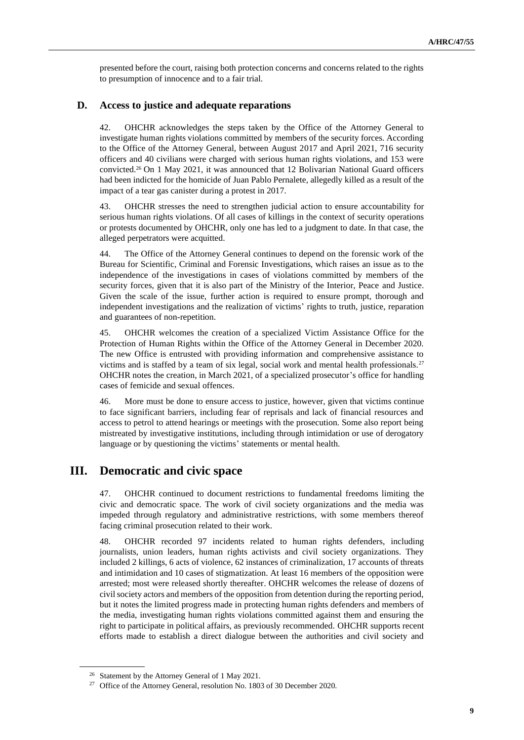presented before the court, raising both protection concerns and concerns related to the rights to presumption of innocence and to a fair trial.

# **D. Access to justice and adequate reparations**

42. OHCHR acknowledges the steps taken by the Office of the Attorney General to investigate human rights violations committed by members of the security forces. According to the Office of the Attorney General, between August 2017 and April 2021, 716 security officers and 40 civilians were charged with serious human rights violations, and 153 were convicted.<sup>26</sup> On 1 May 2021, it was announced that 12 Bolivarian National Guard officers had been indicted for the homicide of Juan Pablo Pernalete, allegedly killed as a result of the impact of a tear gas canister during a protest in 2017.

43. OHCHR stresses the need to strengthen judicial action to ensure accountability for serious human rights violations. Of all cases of killings in the context of security operations or protests documented by OHCHR, only one has led to a judgment to date. In that case, the alleged perpetrators were acquitted.

44. The Office of the Attorney General continues to depend on the forensic work of the Bureau for Scientific, Criminal and Forensic Investigations, which raises an issue as to the independence of the investigations in cases of violations committed by members of the security forces, given that it is also part of the Ministry of the Interior, Peace and Justice. Given the scale of the issue, further action is required to ensure prompt, thorough and independent investigations and the realization of victims' rights to truth, justice, reparation and guarantees of non-repetition.

45. OHCHR welcomes the creation of a specialized Victim Assistance Office for the Protection of Human Rights within the Office of the Attorney General in December 2020. The new Office is entrusted with providing information and comprehensive assistance to victims and is staffed by a team of six legal, social work and mental health professionals.<sup>27</sup> OHCHR notes the creation, in March 2021, of a specialized prosecutor's office for handling cases of femicide and sexual offences.

46. More must be done to ensure access to justice, however, given that victims continue to face significant barriers, including fear of reprisals and lack of financial resources and access to petrol to attend hearings or meetings with the prosecution. Some also report being mistreated by investigative institutions, including through intimidation or use of derogatory language or by questioning the victims' statements or mental health.

# **III. Democratic and civic space**

47. OHCHR continued to document restrictions to fundamental freedoms limiting the civic and democratic space. The work of civil society organizations and the media was impeded through regulatory and administrative restrictions, with some members thereof facing criminal prosecution related to their work.

48. OHCHR recorded 97 incidents related to human rights defenders, including journalists, union leaders, human rights activists and civil society organizations. They included 2 killings, 6 acts of violence, 62 instances of criminalization, 17 accounts of threats and intimidation and 10 cases of stigmatization. At least 16 members of the opposition were arrested; most were released shortly thereafter. OHCHR welcomes the release of dozens of civil society actors and members of the opposition from detention during the reporting period, but it notes the limited progress made in protecting human rights defenders and members of the media, investigating human rights violations committed against them and ensuring the right to participate in political affairs, as previously recommended. OHCHR supports recent efforts made to establish a direct dialogue between the authorities and civil society and

<sup>26</sup> Statement by the Attorney General of 1 May 2021.

<sup>&</sup>lt;sup>27</sup> Office of the Attorney General, resolution No. 1803 of 30 December 2020.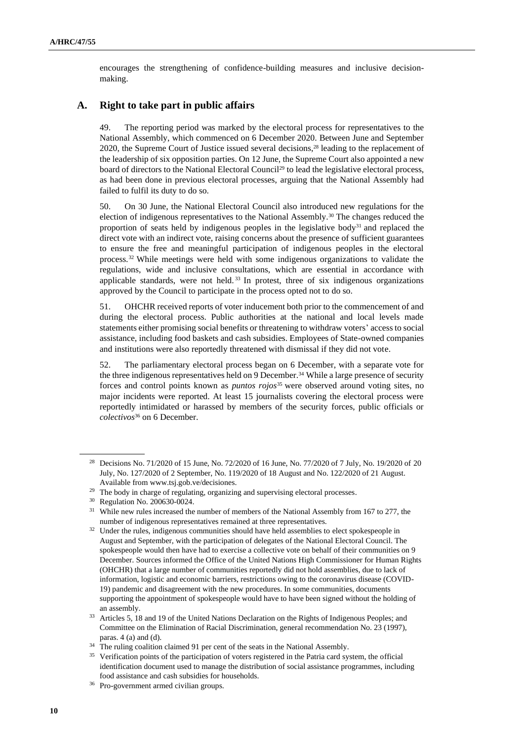encourages the strengthening of confidence-building measures and inclusive decisionmaking.

# **A. Right to take part in public affairs**

49. The reporting period was marked by the electoral process for representatives to the National Assembly, which commenced on 6 December 2020. Between June and September 2020, the Supreme Court of Justice issued several decisions,<sup>28</sup> leading to the replacement of the leadership of six opposition parties. On 12 June, the Supreme Court also appointed a new board of directors to the National Electoral Council<sup>29</sup> to lead the legislative electoral process, as had been done in previous electoral processes, arguing that the National Assembly had failed to fulfil its duty to do so.

50. On 30 June, the National Electoral Council also introduced new regulations for the election of indigenous representatives to the National Assembly.<sup>30</sup> The changes reduced the proportion of seats held by indigenous peoples in the legislative body<sup>31</sup> and replaced the direct vote with an indirect vote, raising concerns about the presence of sufficient guarantees to ensure the free and meaningful participation of indigenous peoples in the electoral process.<sup>32</sup> While meetings were held with some indigenous organizations to validate the regulations, wide and inclusive consultations, which are essential in accordance with applicable standards, were not held.<sup>33</sup> In protest, three of six indigenous organizations approved by the Council to participate in the process opted not to do so.

51. OHCHR received reports of voter inducement both prior to the commencement of and during the electoral process. Public authorities at the national and local levels made statements either promising social benefits or threatening to withdraw voters' access to social assistance, including food baskets and cash subsidies. Employees of State-owned companies and institutions were also reportedly threatened with dismissal if they did not vote.

52. The parliamentary electoral process began on 6 December, with a separate vote for the three indigenous representatives held on 9 December.<sup>34</sup> While a large presence of security forces and control points known as *puntos rojos*<sup>35</sup> were observed around voting sites, no major incidents were reported. At least 15 journalists covering the electoral process were reportedly intimidated or harassed by members of the security forces, public officials or *colectivos*<sup>36</sup> on 6 December.

<sup>28</sup> Decisions No. 71/2020 of 15 June, No. 72/2020 of 16 June, No. 77/2020 of 7 July, No. 19/2020 of 20 July, No. 127/2020 of 2 September, No. 119/2020 of 18 August and No. 122/2020 of 21 August. Available from www.tsj.gob.ve/decisiones.

<sup>&</sup>lt;sup>29</sup> The body in charge of regulating, organizing and supervising electoral processes.

<sup>30</sup> Regulation No. 200630-0024.

<sup>&</sup>lt;sup>31</sup> While new rules increased the number of members of the National Assembly from 167 to 277, the number of indigenous representatives remained at three representatives.

<sup>&</sup>lt;sup>32</sup> Under the rules, indigenous communities should have held assemblies to elect spokespeople in August and September, with the participation of delegates of the National Electoral Council. The spokespeople would then have had to exercise a collective vote on behalf of their communities on 9 December. Sources informed the Office of the United Nations High Commissioner for Human Rights (OHCHR) that a large number of communities reportedly did not hold assemblies, due to lack of information, logistic and economic barriers, restrictions owing to the coronavirus disease (COVID-19) pandemic and disagreement with the new procedures. In some communities, documents supporting the appointment of spokespeople would have to have been signed without the holding of an assembly.

<sup>&</sup>lt;sup>33</sup> Articles 5, 18 and 19 of the United Nations Declaration on the Rights of Indigenous Peoples; and Committee on the Elimination of Racial Discrimination, general recommendation No. 23 (1997), paras. 4 (a) and (d).

<sup>&</sup>lt;sup>34</sup> The ruling coalition claimed 91 per cent of the seats in the National Assembly.

<sup>&</sup>lt;sup>35</sup> Verification points of the participation of voters registered in the Patria card system, the official identification document used to manage the distribution of social assistance programmes, including food assistance and cash subsidies for households.

<sup>36</sup> Pro-government armed civilian groups.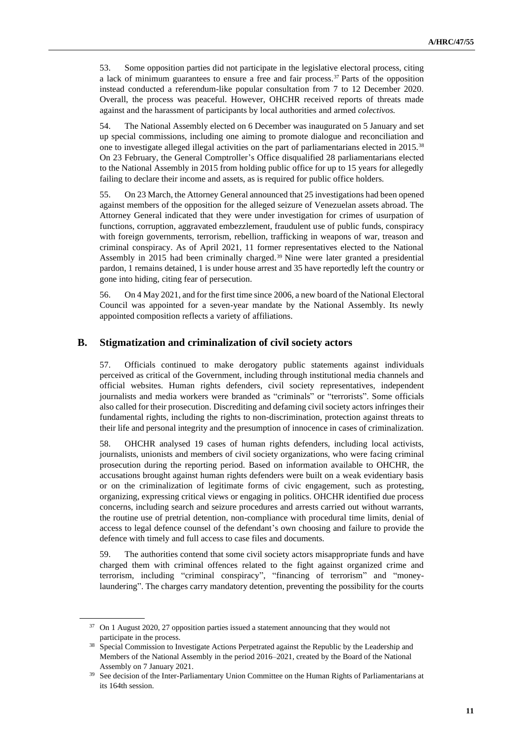53. Some opposition parties did not participate in the legislative electoral process, citing a lack of minimum guarantees to ensure a free and fair process.<sup>37</sup> Parts of the opposition instead conducted a referendum-like popular consultation from 7 to 12 December 2020. Overall, the process was peaceful. However, OHCHR received reports of threats made against and the harassment of participants by local authorities and armed *colectivos.*

54. The National Assembly elected on 6 December was inaugurated on 5 January and set up special commissions, including one aiming to promote dialogue and reconciliation and one to investigate alleged illegal activities on the part of parliamentarians elected in 2015.<sup>38</sup> On 23 February, the General Comptroller's Office disqualified 28 parliamentarians elected to the National Assembly in 2015 from holding public office for up to 15 years for allegedly failing to declare their income and assets, as is required for public office holders.

55. On 23 March, the Attorney General announced that 25 investigations had been opened against members of the opposition for the alleged seizure of Venezuelan assets abroad. The Attorney General indicated that they were under investigation for crimes of usurpation of functions, corruption, aggravated embezzlement, fraudulent use of public funds, conspiracy with foreign governments, terrorism, rebellion, trafficking in weapons of war, treason and criminal conspiracy. As of April 2021, 11 former representatives elected to the National Assembly in 2015 had been criminally charged. <sup>39</sup> Nine were later granted a presidential pardon, 1 remains detained, 1 is under house arrest and 35 have reportedly left the country or gone into hiding, citing fear of persecution.

56. On 4 May 2021, and for the first time since 2006, a new board of the National Electoral Council was appointed for a seven-year mandate by the National Assembly. Its newly appointed composition reflects a variety of affiliations.

# **B. Stigmatization and criminalization of civil society actors**

57. Officials continued to make derogatory public statements against individuals perceived as critical of the Government, including through institutional media channels and official websites. Human rights defenders, civil society representatives, independent journalists and media workers were branded as "criminals" or "terrorists". Some officials also called for their prosecution. Discrediting and defaming civil society actors infringes their fundamental rights, including the rights to non-discrimination, protection against threats to their life and personal integrity and the presumption of innocence in cases of criminalization.

58. OHCHR analysed 19 cases of human rights defenders, including local activists, journalists, unionists and members of civil society organizations, who were facing criminal prosecution during the reporting period. Based on information available to OHCHR, the accusations brought against human rights defenders were built on a weak evidentiary basis or on the criminalization of legitimate forms of civic engagement, such as protesting, organizing, expressing critical views or engaging in politics. OHCHR identified due process concerns, including search and seizure procedures and arrests carried out without warrants, the routine use of pretrial detention, non-compliance with procedural time limits, denial of access to legal defence counsel of the defendant's own choosing and failure to provide the defence with timely and full access to case files and documents.

59. The authorities contend that some civil society actors misappropriate funds and have charged them with criminal offences related to the fight against organized crime and terrorism, including "criminal conspiracy", "financing of terrorism" and "moneylaundering". The charges carry mandatory detention, preventing the possibility for the courts

<sup>37</sup> On 1 August 2020, 27 opposition parties issued a statement announcing that they would not participate in the process.

<sup>&</sup>lt;sup>38</sup> Special Commission to Investigate Actions Perpetrated against the Republic by the Leadership and Members of the National Assembly in the period 2016–2021, created by the Board of the National Assembly on 7 January 2021.

See decision of the Inter-Parliamentary Union Committee on the Human Rights of Parliamentarians at its 164th session.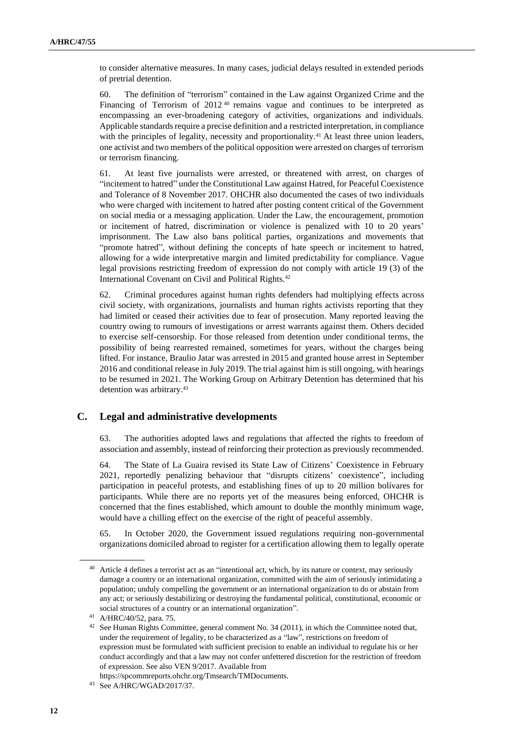to consider alternative measures. In many cases, judicial delays resulted in extended periods of pretrial detention.

60. The definition of "terrorism" contained in the Law against Organized Crime and the Financing of Terrorism of  $2012^{40}$  remains vague and continues to be interpreted as encompassing an ever-broadening category of activities, organizations and individuals. Applicable standards require a precise definition and a restricted interpretation, in compliance with the principles of legality, necessity and proportionality.<sup>41</sup> At least three union leaders, one activist and two members of the political opposition were arrested on charges of terrorism or terrorism financing.

61. At least five journalists were arrested, or threatened with arrest, on charges of "incitement to hatred" under the Constitutional Law against Hatred, for Peaceful Coexistence and Tolerance of 8 November 2017. OHCHR also documented the cases of two individuals who were charged with incitement to hatred after posting content critical of the Government on social media or a messaging application. Under the Law, the encouragement, promotion or incitement of hatred, discrimination or violence is penalized with 10 to 20 years' imprisonment. The Law also bans political parties, organizations and movements that "promote hatred", without defining the concepts of hate speech or incitement to hatred, allowing for a wide interpretative margin and limited predictability for compliance. Vague legal provisions restricting freedom of expression do not comply with article 19 (3) of the International Covenant on Civil and Political Rights.<sup>42</sup>

62. Criminal procedures against human rights defenders had multiplying effects across civil society, with organizations, journalists and human rights activists reporting that they had limited or ceased their activities due to fear of prosecution. Many reported leaving the country owing to rumours of investigations or arrest warrants against them. Others decided to exercise self-censorship. For those released from detention under conditional terms, the possibility of being rearrested remained, sometimes for years, without the charges being lifted. For instance, Braulio Jatar was arrested in 2015 and granted house arrest in September 2016 and conditional release in July 2019. The trial against him is still ongoing, with hearings to be resumed in 2021. The Working Group on Arbitrary Detention has determined that his detention was arbitrary.<sup>43</sup>

## **C. Legal and administrative developments**

63. The authorities adopted laws and regulations that affected the rights to freedom of association and assembly, instead of reinforcing their protection as previously recommended.

64. The State of La Guaira revised its State Law of Citizens' Coexistence in February 2021, reportedly penalizing behaviour that "disrupts citizens' coexistence", including participation in peaceful protests, and establishing fines of up to 20 million bolívares for participants. While there are no reports yet of the measures being enforced, OHCHR is concerned that the fines established, which amount to double the monthly minimum wage, would have a chilling effect on the exercise of the right of peaceful assembly.

65. In October 2020, the Government issued regulations requiring non-governmental organizations domiciled abroad to register for a certification allowing them to legally operate

Article 4 defines a terrorist act as an "intentional act, which, by its nature or context, may seriously damage a country or an international organization, committed with the aim of seriously intimidating a population; unduly compelling the government or an international organization to do or abstain from any act; or seriously destabilizing or destroying the fundamental political, constitutional, economic or social structures of a country or an international organization".

<sup>41</sup> A/HRC/40/52, para. 75.

<sup>&</sup>lt;sup>42</sup> See Human Rights Committee, general comment No. 34 (2011), in which the Committee noted that, under the requirement of legality, to be characterized as a "law", restrictions on freedom of expression must be formulated with sufficient precision to enable an individual to regulate his or her conduct accordingly and that a law may not confer unfettered discretion for the restriction of freedom of expression. See also VEN 9/2017. Available from

https://spcommreports.ohchr.org/Tmsearch/TMDocuments.

<sup>43</sup> See A/HRC/WGAD/2017/37.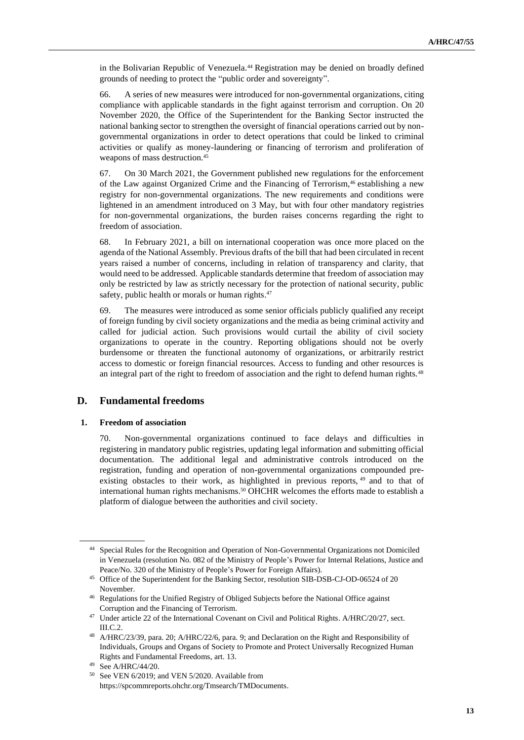in the Bolivarian Republic of Venezuela.<sup>44</sup> Registration may be denied on broadly defined grounds of needing to protect the "public order and sovereignty".

66. A series of new measures were introduced for non-governmental organizations, citing compliance with applicable standards in the fight against terrorism and corruption. On 20 November 2020, the Office of the Superintendent for the Banking Sector instructed the national banking sector to strengthen the oversight of financial operations carried out by nongovernmental organizations in order to detect operations that could be linked to criminal activities or qualify as money-laundering or financing of terrorism and proliferation of weapons of mass destruction.<sup>45</sup>

67. On 30 March 2021, the Government published new regulations for the enforcement of the Law against Organized Crime and the Financing of Terrorism,<sup>46</sup> establishing a new registry for non-governmental organizations. The new requirements and conditions were lightened in an amendment introduced on 3 May, but with four other mandatory registries for non-governmental organizations, the burden raises concerns regarding the right to freedom of association.

68. In February 2021, a bill on international cooperation was once more placed on the agenda of the National Assembly. Previous drafts of the bill that had been circulated in recent years raised a number of concerns, including in relation of transparency and clarity, that would need to be addressed. Applicable standards determine that freedom of association may only be restricted by law as strictly necessary for the protection of national security, public safety, public health or morals or human rights.<sup>47</sup>

69. The measures were introduced as some senior officials publicly qualified any receipt of foreign funding by civil society organizations and the media as being criminal activity and called for judicial action. Such provisions would curtail the ability of civil society organizations to operate in the country. Reporting obligations should not be overly burdensome or threaten the functional autonomy of organizations, or arbitrarily restrict access to domestic or foreign financial resources. Access to funding and other resources is an integral part of the right to freedom of association and the right to defend human rights.<sup>48</sup>

## **D. Fundamental freedoms**

#### **1. Freedom of association**

70. Non-governmental organizations continued to face delays and difficulties in registering in mandatory public registries, updating legal information and submitting official documentation. The additional legal and administrative controls introduced on the registration, funding and operation of non-governmental organizations compounded preexisting obstacles to their work, as highlighted in previous reports, <sup>49</sup> and to that of international human rights mechanisms.<sup>50</sup> OHCHR welcomes the efforts made to establish a platform of dialogue between the authorities and civil society.

<sup>44</sup> Special Rules for the Recognition and Operation of Non-Governmental Organizations not Domiciled in Venezuela (resolution No. 082 of the Ministry of People's Power for Internal Relations, Justice and Peace/No. 320 of the Ministry of People's Power for Foreign Affairs).

<sup>&</sup>lt;sup>45</sup> Office of the Superintendent for the Banking Sector, resolution SIB-DSB-CJ-OD-06524 of 20 November.

<sup>&</sup>lt;sup>46</sup> Regulations for the Unified Registry of Obliged Subjects before the National Office against Corruption and the Financing of Terrorism.

<sup>&</sup>lt;sup>47</sup> Under article 22 of the International Covenant on Civil and Political Rights. A/HRC/20/27, sect. III.C.2.

<sup>48</sup> A/HRC/23/39, para. 20; A/HRC/22/6, para. 9; and Declaration on the Right and Responsibility of Individuals, Groups and Organs of Society to Promote and Protect Universally Recognized Human Rights and Fundamental Freedoms, art. 13.

<sup>49</sup> See A/HRC/44/20.

<sup>50</sup> See VEN 6/2019; and VEN 5/2020. Available from https://spcommreports.ohchr.org/Tmsearch/TMDocuments.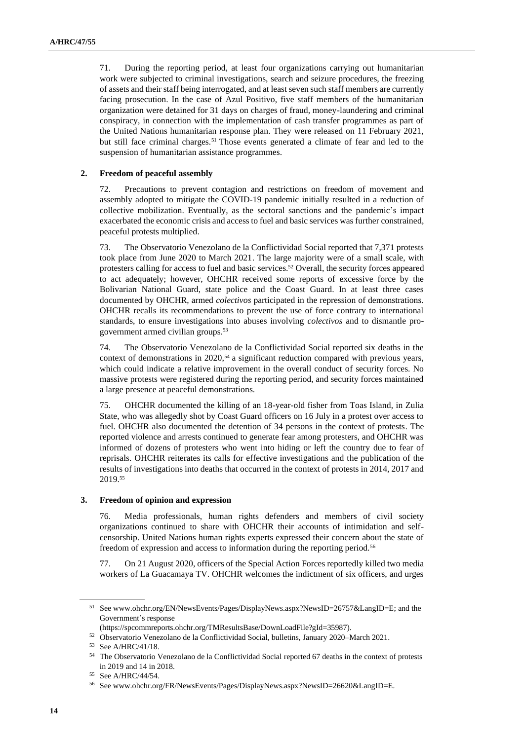71. During the reporting period, at least four organizations carrying out humanitarian work were subjected to criminal investigations, search and seizure procedures, the freezing of assets and their staff being interrogated, and at least seven such staff members are currently facing prosecution. In the case of Azul Positivo, five staff members of the humanitarian organization were detained for 31 days on charges of fraud, money-laundering and criminal conspiracy, in connection with the implementation of cash transfer programmes as part of the United Nations humanitarian response plan. They were released on 11 February 2021, but still face criminal charges.<sup>51</sup> Those events generated a climate of fear and led to the suspension of humanitarian assistance programmes.

## **2. Freedom of peaceful assembly**

72. Precautions to prevent contagion and restrictions on freedom of movement and assembly adopted to mitigate the COVID-19 pandemic initially resulted in a reduction of collective mobilization. Eventually, as the sectoral sanctions and the pandemic's impact exacerbated the economic crisis and access to fuel and basic services was further constrained, peaceful protests multiplied.

73. The Observatorio Venezolano de la Conflictividad Social reported that 7,371 protests took place from June 2020 to March 2021. The large majority were of a small scale, with protesters calling for access to fuel and basic services.<sup>52</sup> Overall, the security forces appeared to act adequately; however, OHCHR received some reports of excessive force by the Bolivarian National Guard, state police and the Coast Guard. In at least three cases documented by OHCHR, armed *colectivos* participated in the repression of demonstrations. OHCHR recalls its recommendations to prevent the use of force contrary to international standards, to ensure investigations into abuses involving *colectivos* and to dismantle progovernment armed civilian groups.<sup>53</sup>

74. The Observatorio Venezolano de la Conflictividad Social reported six deaths in the context of demonstrations in 2020,<sup>54</sup> a significant reduction compared with previous years, which could indicate a relative improvement in the overall conduct of security forces. No massive protests were registered during the reporting period, and security forces maintained a large presence at peaceful demonstrations.

75. OHCHR documented the killing of an 18-year-old fisher from Toas Island, in Zulia State, who was allegedly shot by Coast Guard officers on 16 July in a protest over access to fuel. OHCHR also documented the detention of 34 persons in the context of protests. The reported violence and arrests continued to generate fear among protesters, and OHCHR was informed of dozens of protesters who went into hiding or left the country due to fear of reprisals. OHCHR reiterates its calls for effective investigations and the publication of the results of investigations into deaths that occurred in the context of protests in 2014, 2017 and 2019.<sup>55</sup>

## **3. Freedom of opinion and expression**

76. Media professionals, human rights defenders and members of civil society organizations continued to share with OHCHR their accounts of intimidation and selfcensorship. United Nations human rights experts expressed their concern about the state of freedom of expression and access to information during the reporting period.<sup>56</sup>

77. On 21 August 2020, officers of the Special Action Forces reportedly killed two media workers of La Guacamaya TV. OHCHR welcomes the indictment of six officers, and urges

<sup>51</sup> Se[e www.ohchr.org/EN/NewsEvents/Pages/DisplayNews.aspx?NewsID=26757&LangID=E;](http://www.ohchr.org/EN/NewsEvents/Pages/DisplayNews.aspx?NewsID=26757&LangID=E) and the Government's response

<sup>(</sup>https://spcommreports.ohchr.org/TMResultsBase/DownLoadFile?gId=35987).

<sup>52</sup> Observatorio Venezolano de la Conflictividad Social, bulletins, January 2020–March 2021.

<sup>53</sup> See A/HRC/41/18.

<sup>54</sup> The Observatorio Venezolano de la Conflictividad Social reported 67 deaths in the context of protests in 2019 and 14 in 2018.

<sup>55</sup> See A/HRC/44/54.

<sup>56</sup> Se[e www.ohchr.org/FR/NewsEvents/Pages/DisplayNews.aspx?NewsID=26620&LangID=E.](http://www.ohchr.org/FR/NewsEvents/Pages/DisplayNews.aspx?NewsID=26620&LangID=E)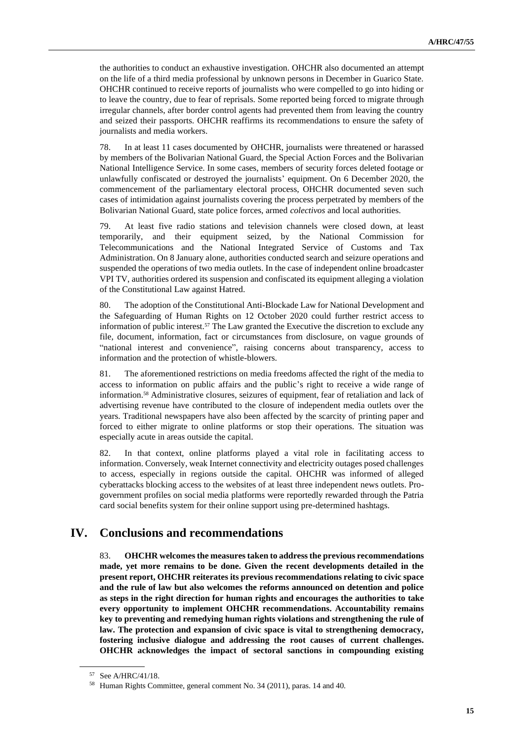the authorities to conduct an exhaustive investigation. OHCHR also documented an attempt on the life of a third media professional by unknown persons in December in Guarico State. OHCHR continued to receive reports of journalists who were compelled to go into hiding or to leave the country, due to fear of reprisals. Some reported being forced to migrate through irregular channels, after border control agents had prevented them from leaving the country and seized their passports. OHCHR reaffirms its recommendations to ensure the safety of journalists and media workers.

78. In at least 11 cases documented by OHCHR, journalists were threatened or harassed by members of the Bolivarian National Guard, the Special Action Forces and the Bolivarian National Intelligence Service. In some cases, members of security forces deleted footage or unlawfully confiscated or destroyed the journalists' equipment. On 6 December 2020, the commencement of the parliamentary electoral process, OHCHR documented seven such cases of intimidation against journalists covering the process perpetrated by members of the Bolivarian National Guard, state police forces, armed *colectivos* and local authorities.

79. At least five radio stations and television channels were closed down, at least temporarily, and their equipment seized, by the National Commission for Telecommunications and the National Integrated Service of Customs and Tax Administration. On 8 January alone, authorities conducted search and seizure operations and suspended the operations of two media outlets. In the case of independent online broadcaster VPI TV, authorities ordered its suspension and confiscated its equipment alleging a violation of the Constitutional Law against Hatred.

80. The adoption of the Constitutional Anti-Blockade Law for National Development and the Safeguarding of Human Rights on 12 October 2020 could further restrict access to information of public interest.<sup>57</sup> The Law granted the Executive the discretion to exclude any file, document, information, fact or circumstances from disclosure, on vague grounds of "national interest and convenience", raising concerns about transparency, access to information and the protection of whistle-blowers.

81. The aforementioned restrictions on media freedoms affected the right of the media to access to information on public affairs and the public's right to receive a wide range of information.<sup>58</sup> Administrative closures, seizures of equipment, fear of retaliation and lack of advertising revenue have contributed to the closure of independent media outlets over the years. Traditional newspapers have also been affected by the scarcity of printing paper and forced to either migrate to online platforms or stop their operations. The situation was especially acute in areas outside the capital.

82. In that context, online platforms played a vital role in facilitating access to information. Conversely, weak Internet connectivity and electricity outages posed challenges to access, especially in regions outside the capital. OHCHR was informed of alleged cyberattacks blocking access to the websites of at least three independent news outlets. Progovernment profiles on social media platforms were reportedly rewarded through the Patria card social benefits system for their online support using pre-determined hashtags.

# **IV. Conclusions and recommendations**

83. **OHCHR welcomes the measures taken to address the previous recommendations made, yet more remains to be done. Given the recent developments detailed in the present report, OHCHR reiterates its previous recommendations relating to civic space and the rule of law but also welcomes the reforms announced on detention and police as steps in the right direction for human rights and encourages the authorities to take every opportunity to implement OHCHR recommendations. Accountability remains key to preventing and remedying human rights violations and strengthening the rule of law. The protection and expansion of civic space is vital to strengthening democracy, fostering inclusive dialogue and addressing the root causes of current challenges. OHCHR acknowledges the impact of sectoral sanctions in compounding existing** 

<sup>57</sup> See A/HRC/41/18.

<sup>58</sup> Human Rights Committee, general comment No. 34 (2011), paras. 14 and 40.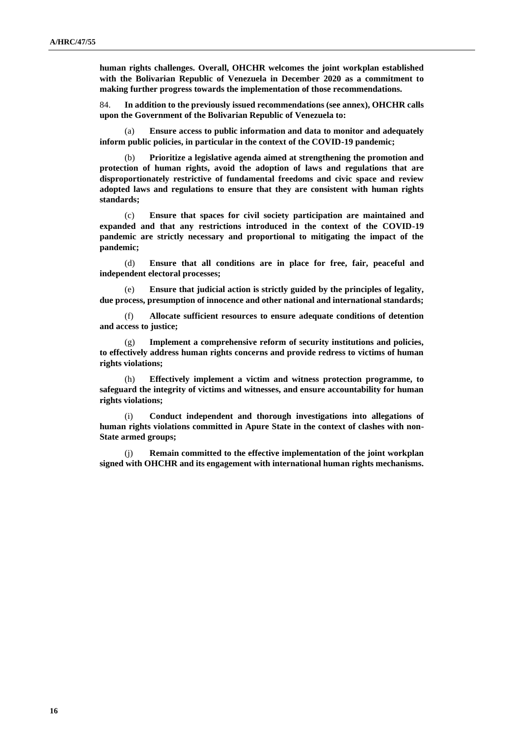**human rights challenges. Overall, OHCHR welcomes the joint workplan established with the Bolivarian Republic of Venezuela in December 2020 as a commitment to making further progress towards the implementation of those recommendations.** 

84. **In addition to the previously issued recommendations (see annex), OHCHR calls upon the Government of the Bolivarian Republic of Venezuela to:**

(a) **Ensure access to public information and data to monitor and adequately inform public policies, in particular in the context of the COVID-19 pandemic;**

(b) **Prioritize a legislative agenda aimed at strengthening the promotion and protection of human rights, avoid the adoption of laws and regulations that are disproportionately restrictive of fundamental freedoms and civic space and review adopted laws and regulations to ensure that they are consistent with human rights standards;** 

(c) **Ensure that spaces for civil society participation are maintained and expanded and that any restrictions introduced in the context of the COVID-19 pandemic are strictly necessary and proportional to mitigating the impact of the pandemic;** 

(d) **Ensure that all conditions are in place for free, fair, peaceful and independent electoral processes;**

(e) **Ensure that judicial action is strictly guided by the principles of legality, due process, presumption of innocence and other national and international standards;** 

(f) **Allocate sufficient resources to ensure adequate conditions of detention and access to justice;**

(g) **Implement a comprehensive reform of security institutions and policies, to effectively address human rights concerns and provide redress to victims of human rights violations;** 

(h) **Effectively implement a victim and witness protection programme, to safeguard the integrity of victims and witnesses, and ensure accountability for human rights violations;** 

(i) **Conduct independent and thorough investigations into allegations of human rights violations committed in Apure State in the context of clashes with non-State armed groups;**

(j) **Remain committed to the effective implementation of the joint workplan signed with OHCHR and its engagement with international human rights mechanisms.**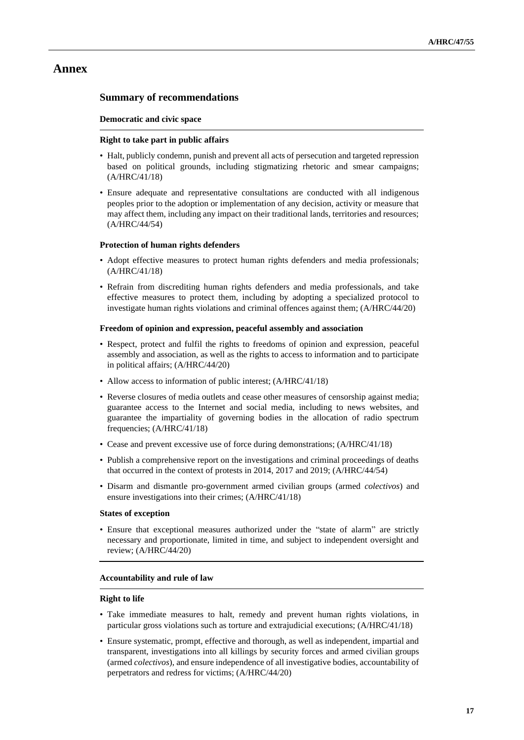# **Annex**

# **Summary of recommendations**

### **Democratic and civic space**

### **Right to take part in public affairs**

- Halt, publicly condemn, punish and prevent all acts of persecution and targeted repression based on political grounds, including stigmatizing rhetoric and smear campaigns; (A/HRC/41/18)
- Ensure adequate and representative consultations are conducted with all indigenous peoples prior to the adoption or implementation of any decision, activity or measure that may affect them, including any impact on their traditional lands, territories and resources; (A/HRC/44/54)

### **Protection of human rights defenders**

- Adopt effective measures to protect human rights defenders and media professionals; (A/HRC/41/18)
- Refrain from discrediting human rights defenders and media professionals, and take effective measures to protect them, including by adopting a specialized protocol to investigate human rights violations and criminal offences against them; (A/HRC/44/20)

### **Freedom of opinion and expression, peaceful assembly and association**

- Respect, protect and fulfil the rights to freedoms of opinion and expression, peaceful assembly and association, as well as the rights to access to information and to participate in political affairs; (A/HRC/44/20)
- Allow access to information of public interest; (A/HRC/41/18)
- Reverse closures of media outlets and cease other measures of censorship against media; guarantee access to the Internet and social media, including to news websites, and guarantee the impartiality of governing bodies in the allocation of radio spectrum frequencies; (A/HRC/41/18)
- Cease and prevent excessive use of force during demonstrations; (A/HRC/41/18)
- Publish a comprehensive report on the investigations and criminal proceedings of deaths that occurred in the context of protests in 2014, 2017 and 2019; (A/HRC/44/54)
- Disarm and dismantle pro-government armed civilian groups (armed *colectivos*) and ensure investigations into their crimes; (A/HRC/41/18)

## **States of exception**

• Ensure that exceptional measures authorized under the "state of alarm" are strictly necessary and proportionate, limited in time, and subject to independent oversight and review; (A/HRC/44/20)

#### **Accountability and rule of law**

#### **Right to life**

- Take immediate measures to halt, remedy and prevent human rights violations, in particular gross violations such as torture and extrajudicial executions; (A/HRC/41/18)
- Ensure systematic, prompt, effective and thorough, as well as independent, impartial and transparent, investigations into all killings by security forces and armed civilian groups (armed *colectivos*), and ensure independence of all investigative bodies, accountability of perpetrators and redress for victims; (A/HRC/44/20)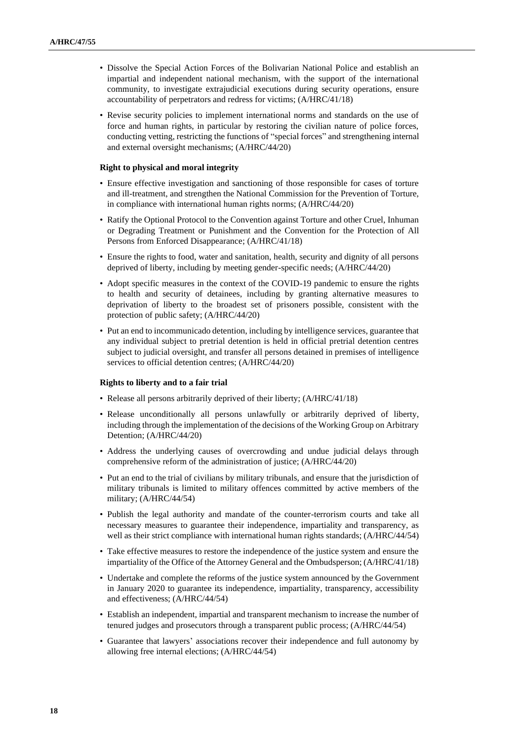- Dissolve the Special Action Forces of the Bolivarian National Police and establish an impartial and independent national mechanism, with the support of the international community, to investigate extrajudicial executions during security operations, ensure accountability of perpetrators and redress for victims; (A/HRC/41/18)
- Revise security policies to implement international norms and standards on the use of force and human rights, in particular by restoring the civilian nature of police forces, conducting vetting, restricting the functions of "special forces" and strengthening internal and external oversight mechanisms; (A/HRC/44/20)

#### **Right to physical and moral integrity**

- Ensure effective investigation and sanctioning of those responsible for cases of torture and ill-treatment, and strengthen the National Commission for the Prevention of Torture, in compliance with international human rights norms; (A/HRC/44/20)
- Ratify the Optional Protocol to the Convention against Torture and other Cruel, Inhuman or Degrading Treatment or Punishment and the Convention for the Protection of All Persons from Enforced Disappearance; (A/HRC/41/18)
- Ensure the rights to food, water and sanitation, health, security and dignity of all persons deprived of liberty, including by meeting gender-specific needs; (A/HRC/44/20)
- Adopt specific measures in the context of the COVID-19 pandemic to ensure the rights to health and security of detainees, including by granting alternative measures to deprivation of liberty to the broadest set of prisoners possible, consistent with the protection of public safety; (A/HRC/44/20)
- Put an end to incommunicado detention, including by intelligence services, guarantee that any individual subject to pretrial detention is held in official pretrial detention centres subject to judicial oversight, and transfer all persons detained in premises of intelligence services to official detention centres; (A/HRC/44/20)

#### **Rights to liberty and to a fair trial**

- Release all persons arbitrarily deprived of their liberty; (A/HRC/41/18)
- Release unconditionally all persons unlawfully or arbitrarily deprived of liberty, including through the implementation of the decisions of the Working Group on Arbitrary Detention; (A/HRC/44/20)
- Address the underlying causes of overcrowding and undue judicial delays through comprehensive reform of the administration of justice; (A/HRC/44/20)
- Put an end to the trial of civilians by military tribunals, and ensure that the jurisdiction of military tribunals is limited to military offences committed by active members of the military; (A/HRC/44/54)
- Publish the legal authority and mandate of the counter-terrorism courts and take all necessary measures to guarantee their independence, impartiality and transparency, as well as their strict compliance with international human rights standards; (A/HRC/44/54)
- Take effective measures to restore the independence of the justice system and ensure the impartiality of the Office of the Attorney General and the Ombudsperson; (A/HRC/41/18)
- Undertake and complete the reforms of the justice system announced by the Government in January 2020 to guarantee its independence, impartiality, transparency, accessibility and effectiveness; (A/HRC/44/54)
- Establish an independent, impartial and transparent mechanism to increase the number of tenured judges and prosecutors through a transparent public process; (A/HRC/44/54)
- Guarantee that lawyers' associations recover their independence and full autonomy by allowing free internal elections; (A/HRC/44/54)